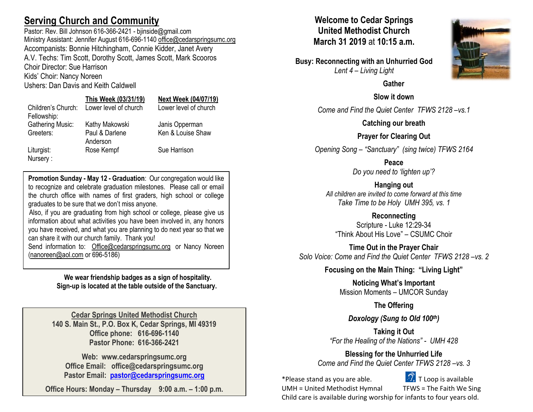# **Serving Church and Community**

Pastor: Rev. Bill Johnson 616-366-2421 - bjinside@gmail.com Ministry Assistant: Jennifer August 616-696-1140 [office@cedarspringsumc.org](mailto:office@cedarspringsumc.org) Accompanists: Bonnie Hitchingham, Connie Kidder, Janet Avery A.V. Techs: Tim Scott, Dorothy Scott, James Scott, Mark Scooros Choir Director: Sue Harrison

Kids' Choir: Nancy Noreen

Ushers: Dan Davis and Keith Caldwell

## **This Week (03/31/19) Next Week (04/07/19)**

| Lower level of church      | Lower level of church |
|----------------------------|-----------------------|
| Kathy Makowski             | Janis Opperman        |
| Paul & Darlene<br>Anderson | Ken & Louise Shaw     |
| Rose Kempf                 | Sue Harrison          |
|                            | Children's Church:    |

**Promotion Sunday - May 12 - Graduation**: Our congregation would like to recognize and celebrate graduation milestones. Please call or email the church office with names of first graders, high school or college graduates to be sure that we don't miss anyone.

Also, if you are graduating from high school or college, please give us information about what activities you have been involved in, any honors you have received, and what you are planning to do next year so that we can share it with our church family. Thank you!

Send information to: [Office@cedarspringsumc.org](mailto:Office@cedarspringsumc.org) or Nancy Noreen [\(nanoreen@aol.com](mailto:nanoreen@aol.com) or 696-5186)

> **We wear friendship badges as a sign of hospitality. Sign-up is located at the table outside of the Sanctuary.**

**Cedar Springs United Methodist Church 140 S. Main St., P.O. Box K, Cedar Springs, MI 49319 Office phone: 616-696-1140 Pastor Phone: 616-366-2421**

**Web: www.cedarspringsumc.org Office Email: office@cedarspringsumc.org Pastor Email: [pastor@cedarspringsumc.org](mailto:pastor@cedarspringsumc.org)**

**Office Hours: Monday – Thursday 9:00 a.m. – 1:00 p.m.**

## **Welcome to Cedar Springs United Methodist Church March 31 2019** at **10:15 a.m.**

**Busy: Reconnecting with an Unhurried God** *Lent 4 – Living Light*

## **Gather**

**Slow it down**

*Come and Find the Quiet Center TFWS 2128 –vs.1*

**Catching our breath**

### **Prayer for Clearing Out**

*Opening Song – "Sanctuary" (sing twice) TFWS 2164*

**Peace** *Do you need to 'lighten up'?*

**Hanging out** *All children are invited to come forward at this time Take Time to be Holy UMH 395, vs. 1*

**Reconnecting** Scripture - Luke 12:29-34 "Think About His Love" – CSUMC Choir

**Time Out in the Prayer Chair** *Solo Voice: Come and Find the Quiet Center TFWS 2128 –vs. 2*

**Focusing on the Main Thing: "Living Light"**

**Noticing What's Important** Mission Moments – UMCOR Sunday

**The Offering**

*Doxology (Sung to Old 100th)*

**Taking it Out** *"For the Healing of the Nations" - UMH 428*

**Blessing for the Unhurried Life** *Come and Find the Quiet Center TFWS 2128 –vs. 3*

\*Please stand as you are able.  $\mathcal{F}$  T Loop is available

UMH = United Methodist Hymnal TFWS = The Faith We Sing Child care is available during worship for infants to four years old.